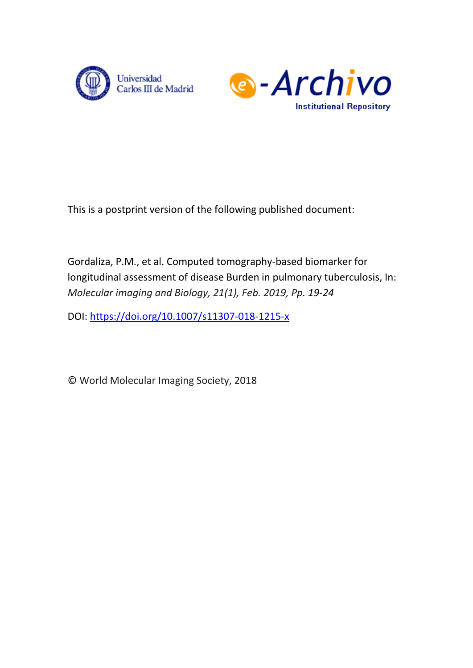



This is a postprint version of the following published document:

Gordaliza, P.M., et al. Computed tomography-based biomarker for longitudinal assessment of disease Burden in pulmonary tuberculosis, In: *Molecular imaging and Biology, 21(1), Feb. 2019, Pp. 19-24*

DOI: <https://doi.org/10.1007/s11307-018-1215-x>

© World Molecular Imaging Society, 2018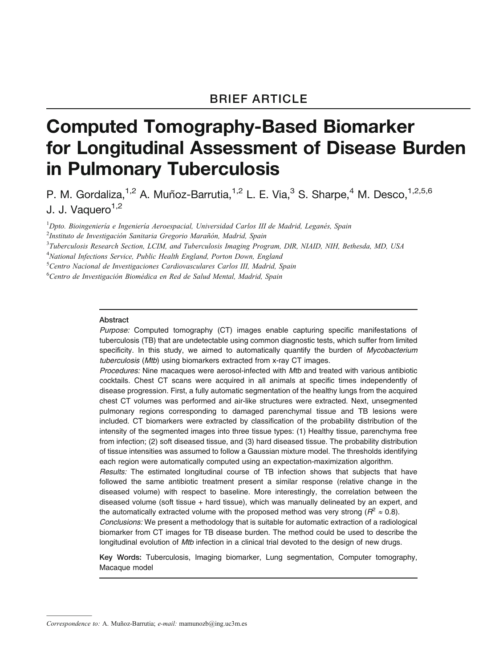# Computed Tomography-Based Biomarker for Longitudinal Assessment of Disease Burden in Pulmonary Tuberculosis

P. M. Gordaliza, <sup>1,2</sup> A. Muñoz-Barrutia, <sup>1,2</sup> L. E. Via, <sup>3</sup> S. Sharpe, <sup>4</sup> M. Desco, <sup>1,2,5,6</sup> J. J. Vaquero<sup>1,2</sup>

<sup>1</sup>Dpto. Bioingeniería e Ingeniería Aeroespacial, Universidad Carlos III de Madrid, Leganés, Spain

<sup>2</sup>Instituto de Investigación Sanitaria Gregorio Marañón, Madrid, Spain

<sup>4</sup>National Infections Service, Public Health England, Porton Down, England

<sup>5</sup>Centro Nacional de Investigaciones Cardiovasculares Carlos III, Madrid, Spain

<sup>6</sup>Centro de Investigación Biomédica en Red de Salud Mental, Madrid, Spain

#### Abstract

Purpose: Computed tomography (CT) images enable capturing specific manifestations of tuberculosis (TB) that are undetectable using common diagnostic tests, which suffer from limited specificity. In this study, we aimed to automatically quantify the burden of Mycobacterium tuberculosis (Mtb) using biomarkers extracted from x-ray CT images.

Procedures: Nine macaques were aerosol-infected with Mtb and treated with various antibiotic cocktails. Chest CT scans were acquired in all animals at specific times independently of disease progression. First, a fully automatic segmentation of the healthy lungs from the acquired chest CT volumes was performed and air-like structures were extracted. Next, unsegmented pulmonary regions corresponding to damaged parenchymal tissue and TB lesions were included. CT biomarkers were extracted by classification of the probability distribution of the intensity of the segmented images into three tissue types: (1) Healthy tissue, parenchyma free from infection; (2) soft diseased tissue, and (3) hard diseased tissue. The probability distribution of tissue intensities was assumed to follow a Gaussian mixture model. The thresholds identifying each region were automatically computed using an expectation-maximization algorithm.

Results: The estimated longitudinal course of TB infection shows that subjects that have followed the same antibiotic treatment present a similar response (relative change in the diseased volume) with respect to baseline. More interestingly, the correlation between the diseased volume (soft tissue + hard tissue), which was manually delineated by an expert, and the automatically extracted volume with the proposed method was very strong ( $R^2 \approx 0.8$ ).

Conclusions: We present a methodology that is suitable for automatic extraction of a radiological biomarker from CT images for TB disease burden. The method could be used to describe the longitudinal evolution of Mtb infection in a clinical trial devoted to the design of new drugs.

Key Words: Tuberculosis, Imaging biomarker, Lung segmentation, Computer tomography, Macaque model

<sup>&</sup>lt;sup>3</sup>Tuberculosis Research Section, LCIM, and Tuberculosis Imaging Program, DIR, NIAID, NIH, Bethesda, MD, USA

Correspondence to: A. Muñoz-Barrutia; e-mail: mamunozb@ing.uc3m.es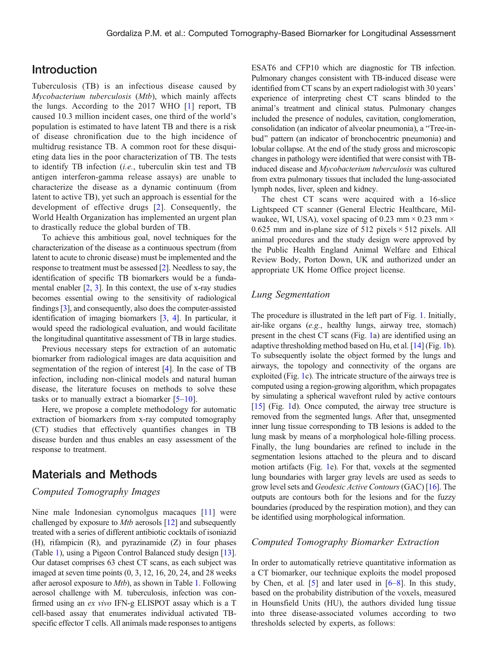# Introduction

Tuberculosis (TB) is an infectious disease caused by Mycobacterium tuberculosis (Mtb), which mainly affects the lungs. According to the 2017 WHO [[1\]](#page-6-0) report, TB caused 10.3 million incident cases, one third of the world's population is estimated to have latent TB and there is a risk of disease chronification due to the high incidence of multidrug resistance TB. A common root for these disquieting data lies in the poor characterization of TB. The tests to identify TB infection (i.e., tuberculin skin test and TB antigen interferon-gamma release assays) are unable to characterize the disease as a dynamic continuum (from latent to active TB), yet such an approach is essential for the development of effective drugs [\[2](#page-6-0)]. Consequently, the World Health Organization has implemented an urgent plan to drastically reduce the global burden of TB.

To achieve this ambitious goal, novel techniques for the characterization of the disease as a continuous spectrum (from latent to acute to chronic disease) must be implemented and the response to treatment must be assessed [[2\]](#page-6-0). Needless to say, the identification of specific TB biomarkers would be a fundamental enabler  $[2, 3]$  $[2, 3]$  $[2, 3]$  $[2, 3]$ . In this context, the use of x-ray studies becomes essential owing to the sensitivity of radiological findings [[3\]](#page-6-0), and consequently, also does the computer-assisted identification of imaging biomarkers [[3](#page-6-0), [4](#page-6-0)]. In particular, it would speed the radiological evaluation, and would facilitate the longitudinal quantitative assessment of TB in large studies.

Previous necessary steps for extraction of an automatic biomarker from radiological images are data acquisition and segmentation of the region of interest [\[4](#page-6-0)]. In the case of TB infection, including non-clinical models and natural human disease, the literature focuses on methods to solve these tasks or to manually extract a biomarker  $[5-10]$  $[5-10]$  $[5-10]$  $[5-10]$ .

Here, we propose a complete methodology for automatic extraction of biomarkers from x-ray computed tomography (CT) studies that effectively quantifies changes in TB disease burden and thus enables an easy assessment of the response to treatment.

## Materials and Methods

#### Computed Tomography Images

Nine male Indonesian cynomolgus macaques [\[11\]](#page-6-0) were challenged by exposure to Mtb aerosols [\[12](#page-6-0)] and subsequently treated with a series of different antibiotic cocktails of isoniazid (H), rifampicin (R), and pyrazinamide (Z) in four phases (Table [1](#page-3-0)), using a Pigeon Control Balanced study design [[13](#page-6-0)]. Our dataset comprises 63 chest CT scans, as each subject was imaged at seven time points (0, 3, 12, 16, 20, 24, and 28 weeks after aerosol exposure to Mtb), as shown in Table [1](#page-3-0). Following aerosol challenge with M. tuberculosis, infection was confirmed using an ex vivo IFN-g ELISPOT assay which is a T cell-based assay that enumerates individual activated TBspecific effector T cells. All animals made responses to antigens

ESAT6 and CFP10 which are diagnostic for TB infection. Pulmonary changes consistent with TB-induced disease were identified from CT scans by an expert radiologist with 30 years' experience of interpreting chest CT scans blinded to the animal's treatment and clinical status. Pulmonary changes included the presence of nodules, cavitation, conglomeration, consolidation (an indicator of alveolar pneumonia), a "Tree-inbud" pattern (an indicator of bronchocentric pneumonia) and lobular collapse. At the end of the study gross and microscopic changes in pathology were identified that were consist with TBinduced disease and Mycobacterium tuberculosis was cultured from extra pulmonary tissues that included the lung-associated lymph nodes, liver, spleen and kidney.

The chest CT scans were acquired with a 16-slice Lightspeed CT scanner (General Electric Healthcare, Milwaukee, WI, USA), voxel spacing of 0.23 mm  $\times$  0.23 mm  $\times$ 0.625 mm and in-plane size of 512 pixels  $\times$  512 pixels. All animal procedures and the study design were approved by the Public Health England Animal Welfare and Ethical Review Body, Porton Down, UK and authorized under an appropriate UK Home Office project license.

#### Lung Segmentation

The procedure is illustrated in the left part of Fig. [1.](#page-3-0) Initially, air-like organs (e.g., healthy lungs, airway tree, stomach) present in the chest CT scans (Fig. [1](#page-3-0)a) are identified using an adaptive thresholding method based on Hu, et al. [\[14](#page-6-0)] (Fig. [1](#page-3-0)b). To subsequently isolate the object formed by the lungs and airways, the topology and connectivity of the organs are exploited (Fig. [1c](#page-3-0)). The intricate structure of the airways tree is computed using a region-growing algorithm, which propagates by simulating a spherical wavefront ruled by active contours [\[15\]](#page-6-0) (Fig. [1d](#page-3-0)). Once computed, the airway tree structure is removed from the segmented lungs. After that, unsegmented inner lung tissue corresponding to TB lesions is added to the lung mask by means of a morphological hole-filling process. Finally, the lung boundaries are refined to include in the segmentation lesions attached to the pleura and to discard motion artifacts (Fig. [1](#page-3-0)e). For that, voxels at the segmented lung boundaries with larger gray levels are used as seeds to grow level sets and Geodesic Active Contours (GAC) [\[16](#page-6-0)]. The outputs are contours both for the lesions and for the fuzzy boundaries (produced by the respiration motion), and they can be identified using morphological information.

### Computed Tomography Biomarker Extraction

In order to automatically retrieve quantitative information as a CT biomarker, our technique exploits the model proposed by Chen, et al. [[5\]](#page-6-0) and later used in [[6](#page-6-0)–[8\]](#page-6-0). In this study, based on the probability distribution of the voxels, measured in Hounsfield Units (HU), the authors divided lung tissue into three disease-associated volumes according to two thresholds selected by experts, as follows: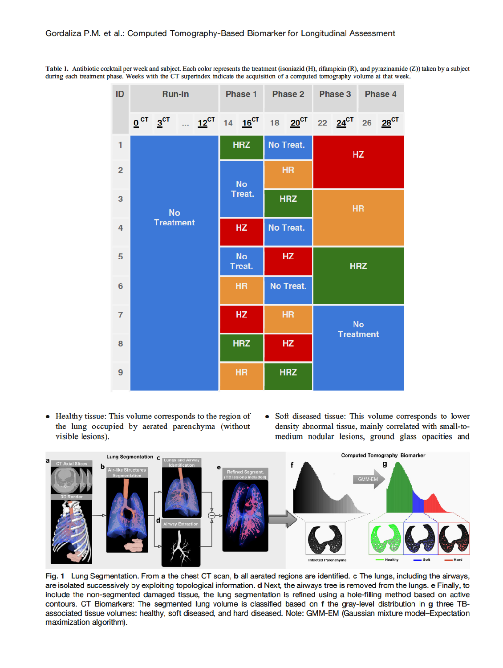Table 1. Antibiotic cocktail per week and subject. Each color represents the treatment (isoniazid (H), rifampicin (R), and pyrazinamide (Z)) taken by a subject during each treatment phase. Weeks with the CT superindex indicate the acquisition of a computed tomography volume at that week.



• Healthy tissue: This volume corresponds to the region of the lung occupied by aerated parenchyma (without visible lesions).

Soft diseased tissue: This volume corresponds to lower  $\bullet$ density abnormal tissue, mainly correlated with small-tomedium nodular lesions, ground glass opacities and



Fig. 1 Lung Segmentation. From a the chest CT scan, b all aerated regions are identified. c The lungs, including the airways, are isolated successively by exploiting topological information. d Next, the airways tree is removed from the lungs. e Finally, to include the non-segmented damaged tissue, the lung segmentation is refined using a hole-filling method based on active contours. CT Biomarkers: The segmented lung volume is classified based on f the gray-level distribution in g three TBassociated tissue volumes: healthy, soft diseased, and hard diseased. Note: GMM-EM (Gaussian mixture model-Expectation maximization algorithm).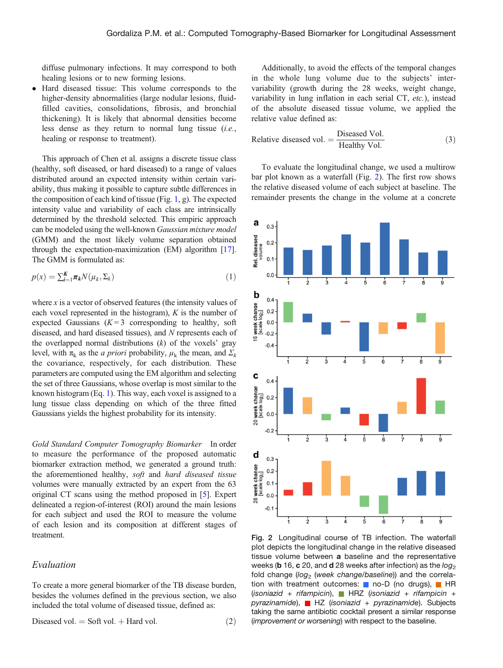<span id="page-4-0"></span>diffuse pulmonary infections. It may correspond to both healing lesions or to new forming lesions.

 Hard diseased tissue: This volume corresponds to the higher-density abnormalities (large nodular lesions, fluidfilled cavities, consolidations, fibrosis, and bronchial thickening). It is likely that abnormal densities become less dense as they return to normal lung tissue (i.e., healing or response to treatment).

This approach of Chen et al. assigns a discrete tissue class (healthy, soft diseased, or hard diseased) to a range of values distributed around an expected intensity within certain variability, thus making it possible to capture subtle differences in the composition of each kind of tissue (Fig. [1](#page-3-0), g). The expected intensity value and variability of each class are intrinsically determined by the threshold selected. This empiric approach can be modeled using the well-known Gaussian mixture model (GMM) and the most likely volume separation obtained through the expectation-maximization (EM) algorithm [[17](#page-6-0)]. The GMM is formulated as:

$$
p(x) = \sum_{k=1}^{K} \pi_k N(\mu_k, \Sigma_k)
$$
\n(1)

where  $x$  is a vector of observed features (the intensity values of each voxel represented in the histogram),  $K$  is the number of expected Gaussians  $(K=3$  corresponding to healthy, soft diseased, and hard diseased tissues), and N represents each of the overlapped normal distributions  $(k)$  of the voxels' gray level, with  $\pi_k$  as the *a priori* probability,  $\mu_k$  the mean, and  $\Sigma_k$ the covariance, respectively, for each distribution. These parameters are computed using the EM algorithm and selecting the set of three Gaussians, whose overlap is most similar to the known histogram (Eq. 1). This way, each voxel is assigned to a lung tissue class depending on which of the three fitted Gaussians yields the highest probability for its intensity.

Gold Standard Computer Tomography Biomarker In order to measure the performance of the proposed automatic biomarker extraction method, we generated a ground truth: the aforementioned healthy, soft and hard diseased tissue volumes were manually extracted by an expert from the 63 original CT scans using the method proposed in [[5\]](#page-6-0). Expert delineated a region-of-interest (ROI) around the main lesions for each subject and used the ROI to measure the volume of each lesion and its composition at different stages of treatment.

#### Evaluation

To create a more general biomarker of the TB disease burden, besides the volumes defined in the previous section, we also included the total volume of diseased tissue, defined as:

$$
Diseased vol. = Soft vol. + Hard vol. \tag{2}
$$

Additionally, to avoid the effects of the temporal changes in the whole lung volume due to the subjects' intervariability (growth during the 28 weeks, weight change, variability in lung inflation in each serial CT, etc.), instead of the absolute diseased tissue volume, we applied the relative value defined as:

Relative diseased vol. = 
$$
\frac{\text{Diseased Vol.}}{\text{Healthy Vol.}} \tag{3}
$$

To evaluate the longitudinal change, we used a multirow bar plot known as a waterfall (Fig. 2). The first row shows the relative diseased volume of each subject at baseline. The remainder presents the change in the volume at a concrete



Fig. 2 Longitudinal course of TB infection. The waterfall plot depicts the longitudinal change in the relative diseased tissue volume between a baseline and the representative weeks (b 16, c 20, and d 28 weeks after infection) as the  $log_2$ fold change ( $log<sub>2</sub>$  (week change/baseline)) and the correlation with treatment outcomes:  $\Box$  no-D (no drugs),  $\Box$  HR (isoniazid + rifampicin), HRZ (isoniazid + rifampicin +  $pyrazinamide$ , HZ (isoniazid + pyrazinamide). Subjects taking the same antibiotic cocktail present a similar response (improvement or worsening) with respect to the baseline.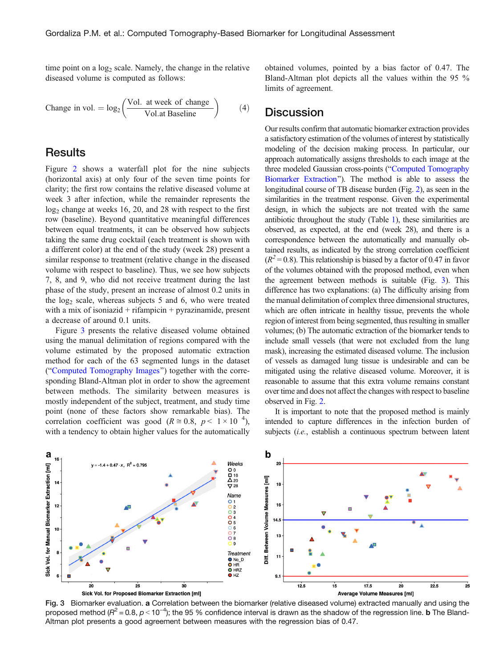time point on a  $log<sub>2</sub>$  scale. Namely, the change in the relative diseased volume is computed as follows:

Change in vol. = 
$$
log_2 \left( \frac{Vol. \text{ at week of change}}{Vol. \text{at Baseline}} \right)
$$
 (4)

## **Results**

Figure [2](#page-4-0) shows a waterfall plot for the nine subjects (horizontal axis) at only four of the seven time points for clarity; the first row contains the relative diseased volume at week 3 after infection, while the remainder represents the  $log<sub>2</sub>$  change at weeks 16, 20, and 28 with respect to the first row (baseline). Beyond quantitative meaningful differences between equal treatments, it can be observed how subjects taking the same drug cocktail (each treatment is shown with a different color) at the end of the study (week 28) present a similar response to treatment (relative change in the diseased volume with respect to baseline). Thus, we see how subjects 7, 8, and 9, who did not receive treatment during the last phase of the study, present an increase of almost 0.2 units in the  $log<sub>2</sub>$  scale, whereas subjects 5 and 6, who were treated with a mix of isoniazid  $+$  rifampicin  $+$  pyrazinamide, present a decrease of around 0.1 units.

Figure 3 presents the relative diseased volume obtained using the manual delimitation of regions compared with the volume estimated by the proposed automatic extraction method for each of the 63 segmented lungs in the dataset ("Computed Tomography Images") together with the corresponding Bland-Altman plot in order to show the agreement between methods. The similarity between measures is mostly independent of the subject, treatment, and study time point (none of these factors show remarkable bias). The correlation coefficient was good ( $R \approx 0.8$ ,  $p < 1 \times 10^{-4}$ ), with a tendency to obtain higher values for the automatically

obtained volumes, pointed by a bias factor of 0.47. The Bland-Altman plot depicts all the values within the 95 % limits of agreement.

## **Discussion**

Our results confirm that automatic biomarker extraction provides a satisfactory estimation of the volumes of interest by statistically modeling of the decision making process. In particular, our approach automatically assigns thresholds to each image at the three modeled Gaussian cross-points ("Computed Tomography Biomarker Extraction"). The method is able to assess the longitudinal course of TB disease burden (Fig. [2](#page-4-0)), as seen in the similarities in the treatment response. Given the experimental design, in which the subjects are not treated with the same antibiotic throughout the study (Table [1\)](#page-3-0), these similarities are observed, as expected, at the end (week 28), and there is a correspondence between the automatically and manually obtained results, as indicated by the strong correlation coefficient  $(R<sup>2</sup>=0.8)$ . This relationship is biased by a factor of 0.47 in favor of the volumes obtained with the proposed method, even when the agreement between methods is suitable (Fig. 3). This difference has two explanations: (a) The difficulty arising from the manual delimitation of complex three dimensional structures, which are often intricate in healthy tissue, prevents the whole region of interest from being segmented, thus resulting in smaller volumes; (b) The automatic extraction of the biomarker tends to include small vessels (that were not excluded from the lung mask), increasing the estimated diseased volume. The inclusion of vessels as damaged lung tissue is undesirable and can be mitigated using the relative diseased volume. Moreover, it is reasonable to assume that this extra volume remains constant over time and does not affect the changes with respect to baseline observed in Fig. [2](#page-4-0).

It is important to note that the proposed method is mainly intended to capture differences in the infection burden of subjects (*i.e.*, establish a continuous spectrum between latent



Fig. 3 Biomarker evaluation. a Correlation between the biomarker (relative diseased volume) extracted manually and using the proposed method ( $R^2$  = 0.8, p < 10<sup>-4</sup>); the 95 % confidence interval is drawn as the shadow of the regression line. **b** The Bland-Altman plot presents a good agreement between measures with the regression bias of 0.47.